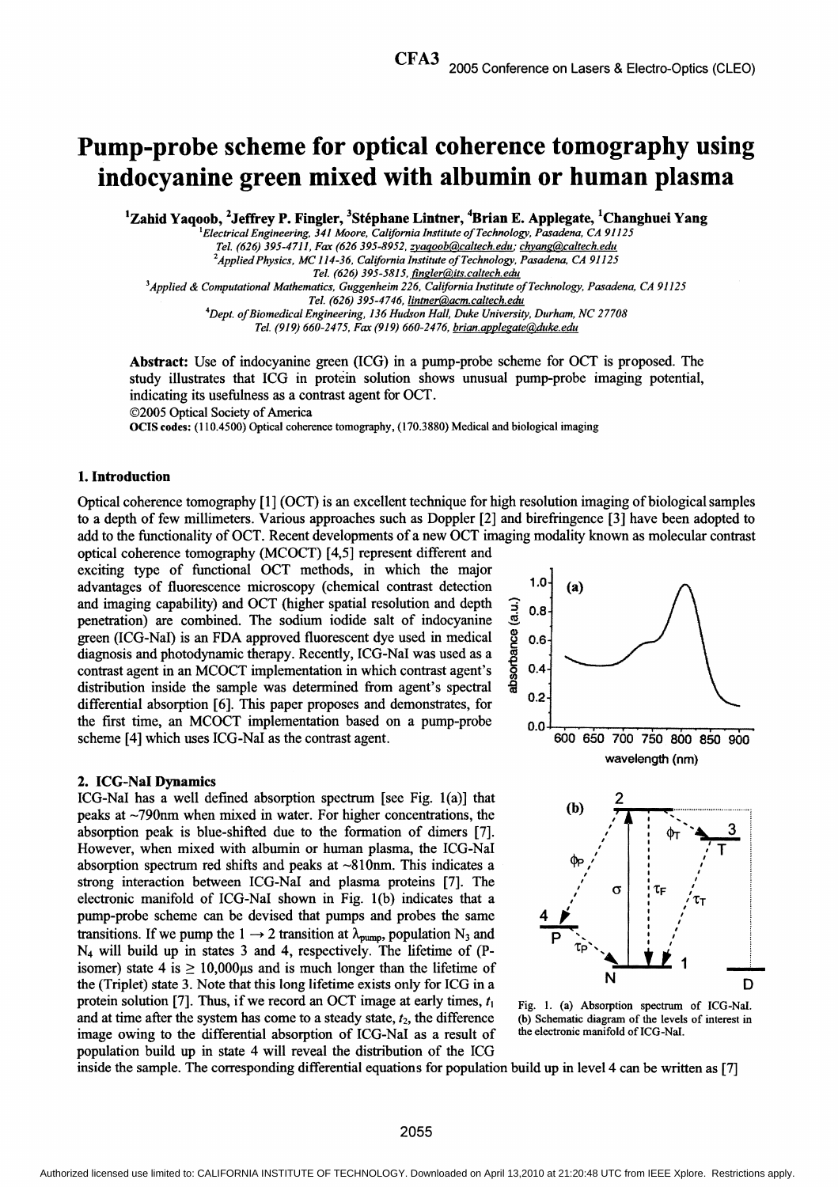# Pump-probe scheme for optical coherence tomography using indocyanine green mixed with albumin or human plasma

<sup>1</sup>Zahid Yaqoob, <sup>2</sup>Jeffrey P. Fingler, <sup>3</sup>Stéphane Lintner, <sup>4</sup>Brian E. Applegate, <sup>1</sup>Changhuei Yang

Electrical Engineering, 341 Moore, California Institute of Technology, Pasadena, CA 91125 Tel. (626) 395-4711, Fax (626 395-8952, zvagoob@caltech.edu: chvang@caltech.edu  $^2$ Applied Physics, MC 114-36, California Institute of Technology, Pasadena, CA 91125 Tel. (626) 395-5815, fingler@its.caltech.edu 3Applied & Computational Mathematics, Guggenheim 226, California Institute ofTechnology, Pasadena, CA 91125 Tel. (626) 395-4746, lintner@acm.caltech.edu

<sup>4</sup>Dept. of Biomedical Engineering, 136 Hudson Hall, Duke University, Durham, NC 27708 Tel. (919) 660-2475, Fax (919) 660-2476, brian.applegate@duke.edu

Abstract: Use of indocyanine green (ICG) in <sup>a</sup> pump-probe scheme for OCT is proposed. The study illustrates that ICG in protein solution shows unusual pump-probe imaging potential, indicating its usefulness as a contrast agent for OCT. ©2005 Optical Society of America

OCIS codes: (110.4500) Optical coherence tomography, (170.3880) Medical and biological imaging

# 1. Introduction

Optical coherence tomography [1] (OCT) is an excellent technique for high resolution imaging of biological samples to a depth of few millimeters. Various approaches such as Doppler [2] and birefringence [3] have been adopted to add to the functionality of OCT. Recent developments of <sup>a</sup> new OCT imaging modality known as molecular contrast

optical coherence tomography (MCOCT) [4,5] represent different and exciting type of functional OCT methods, in which the major advantages of fluorescence microscopy (chemical contrast detection  $1.0$  (a) and imaging capability) and OCT (higher spatial resolution and depth<br>penetration) are combined. The sodium iodide salt of indocyanine<br>green (ICG-NaI) is an FDA approved fluorescent dye used in medical<br>diagnosis and photod penetration) are combined. The sodium iodide salt of indocyanine green (ICG-NaI) is an FDA approved fluorescent dye used in medical  $\frac{8}{2}$  0.6 diagnosis and photodynamic therapy. Recently, ICG-NaI was used as a contrast agent in an MCOCT implementation in which contrast agent's  $\frac{6}{9}$  0.4 distribution inside the sample was determined from agent's spectral  $\frac{6}{9}$  0.2 differential absorption [6]. This paper proposes and demonstrates, for the first time, an MCOCT implementation based on a pump-probe  $0.0$ scheme [4] which uses ICG-NaI as the contrast agent. 600 650 700 750 800 850 900

### 2. ICG-NaI Dynamics

ICG-NaI has a well defined absorption spectrum [see Fig. 1(a)] that needs at  $200 \text{nm}$  when mixed in water. Ear higher concentrations the (b) peaks at  $\sim$ 790nm when mixed in water. For higher concentrations, the absorption peak is blue-shifted due to the formation of dimers [7]. However, when mixed with albumin or human plasma, the ICG-NaI absorption spectrum red shifts and peaks at  $\sim 810$ nm. This indicates a strong interaction between ICG-NaI and plasma proteins [7]. The  $\frac{1}{2}$   $\sigma$ electronic manifold of ICG-NaI shown in Fig.  $1(b)$  indicates that a pump-probe scheme can be devised that pumps and probes the same transitions. If we pump the 1  $\rightarrow$  2 transition at  $\lambda_{\text{pump}}$ , population N<sub>3</sub> and  $N_4$  will build up in states 3 and 4, respectively. The lifetime of (Pisomer) state 4 is  $\geq 10,000\mu$ s and is much longer than the lifetime of the (Triplet) state 3. Note that this long lifetime exists only for ICG in a the (Triplet) state 3. Note that this long lifetime exists only for ICG in a protein solution [7]. Thus, if we record an OCT image at early times,  $t_1$  Fig. 1. (a) Absorption spectrum of ICG-Nal.<br>and at time after the system has come to a steady state,  $t_2$ , the difference (b) Schematic diagram and at time after the system has come to a steady state,  $t_2$ , the difference (b) Schematic diagram of the levels image owing to the differential absorption of ICG-NaI as a result of the electronic manifold of ICG-NaI. image owing to the differential absorption of ICG-NaI as a result of population build up in state 4 will reveal the distribution of the ICG



inside the sample. The corresponding differential equations for population build up in level 4 can be written as [7]

## 2055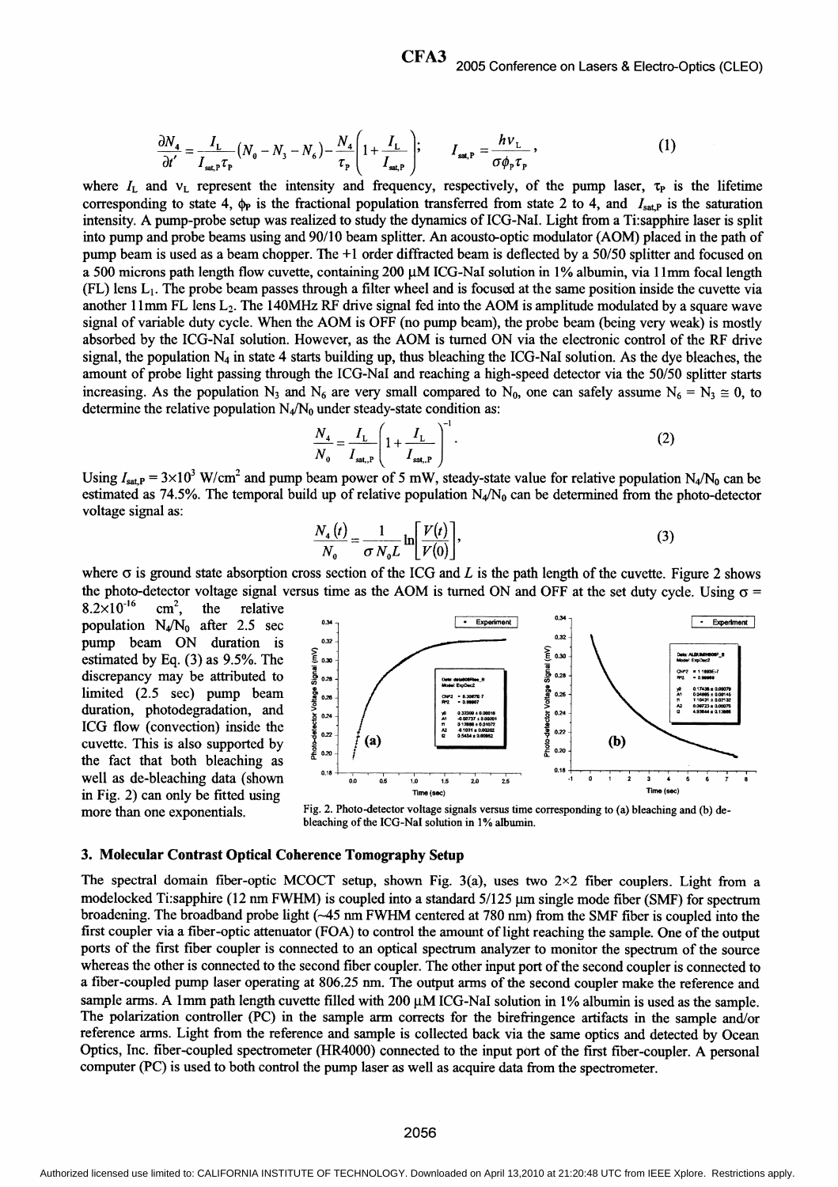$$
\frac{\partial N_4}{\partial t'} = \frac{I_L}{I_{\text{sat,P}} \tau_{\text{P}}} \left( N_0 - N_3 - N_6 \right) - \frac{N_4}{\tau_{\text{P}}} \left( 1 + \frac{I_L}{I_{\text{sat,P}}} \right); \qquad I_{\text{sat,P}} = \frac{h v_L}{\sigma \phi_{\text{P}} \tau_{\text{P}}} \,, \tag{1}
$$

where  $I_L$  and  $v_L$  represent the intensity and frequency, respectively, of the pump laser,  $\tau_P$  is the lifetime corresponding to state 4,  $\phi_P$  is the fractional population transferred from state 2 to 4, and  $I_{\text{sat,P}}$  is the saturation intensity. A pump-probe setup was realized to study the dynamics of ICG-NaI. Light from <sup>a</sup> Ti:sapphire laser is split into pump and probe beams using and 90/10 beam splitter. An acousto-optic modulator (AOM) placed in the path of pump beam is used as a beam chopper. The +1 order diffracted beam is deflected by a 50/50 splitter and focused on a 500 microns path length flow cuvette, containing 200 µM ICG-NaI solution in 1% albumin, via 11mm focal length  $(FL)$  lens  $L_1$ . The probe beam passes through a filter wheel and is focused at the same position inside the cuvette via another 11mm FL lens  $L_2$ . The 140MHz RF drive signal fed into the AOM is amplitude modulated by a square wave signal of variable duty cycle. When the AOM is OFF (no pump beam), the probe beam (being very weak) is mostly absorbed by the ICG-NaI solution. However, as the AOM is turned ON via the electronic control of the RF drive signal, the population  $N_4$  in state 4 starts building up, thus bleaching the ICG-NaI solution. As the dye bleaches, the amount of probe light passing through the ICG-NaI and reaching a high-speed detector via the 50/50 splitter starts increasing. As the population N<sub>3</sub> and N<sub>6</sub> are very small compared to N<sub>0</sub>, one can safely assume N<sub>6</sub> = N<sub>3</sub>  $\cong$  0, to determine the relative population  $N_4/N_0$  under steady-state condition as:

$$
\frac{N_4}{N_0} = \frac{I_L}{I_{\text{sat},P}} \left( 1 + \frac{I_L}{I_{\text{sat},P}} \right)^{-1} .
$$
 (2)

Using  $I_{\text{sat,P}} = 3 \times 10^3$  W/cm<sup>2</sup> and pump beam power of 5 mW, steady-state value for relative population N<sub>4</sub>/N<sub>0</sub> can be estimated as 74.5%. The temporal build up of relative population  $N_4/N_0$  can be determined from the photo-detector voltage signal as:

$$
\frac{N_4(t)}{N_0} = \frac{1}{\sigma N_0 L} \ln \left[ \frac{V(t)}{V(0)} \right],
$$
\n(3)

where  $\sigma$  is ground state absorption cross section of the ICG and L is the path length of the cuvette. Figure 2 shows the photo-detector voltage signal versus time as the AOM is turned ON and OFF at the set duty cycle. Using  $\sigma = 8.2 \times 10^{-16}$  cm<sup>2</sup>, the relative

 $8.2 \times 10^{-16}$  cm<sup>2</sup>, the relative pump beam ON duration is  $\sum_{s=1}^{\infty}$ <br>estimated by Eq. (3) as 9.5%. The  $\sum_{s=1}^{\infty}$ discrepancy may be attributed to cuvette. This is also supported by  $\frac{8}{2}$  (x) the fact that both bleaching as



more than one exponentials. Fig. 2. Photo-detector voltage signals versus time corresponding to (a) bleaching and (b) debleaching of the ICG-NaI solution in 1% albumin.

### 3. Molecular Contrast Optical Coherence Tomography Setup

The spectral domain fiber-optic MCOCT setup, shown Fig. 3(a), uses two  $2\times 2$  fiber couplers. Light from a modelocked Ti:sapphire (12 nm FWHM) is coupled into a standard  $5/125$  µm single mode fiber (SMF) for spectrum broadening. The broadband probe light (~45 nm FWHM centered at 780 nm) from the SMF fiber is coupled into the first coupler via a fiber-optic attenuator (FOA) to control the amount of light reaching the sample. One of the output ports of the first fiber coupler is connected to an optical spectrum analyzer to monitor the spectrum of the source whereas the other is connected to the second fiber coupler. The other input port of the second coupler is connected to a fiber-coupled pump laser operating at 806.25 nm. The output arms of the second coupler make the reference and sample arms. A 1mm path length cuvette filled with 200  $\mu$ M ICG-NaI solution in 1% albumin is used as the sample. The polarization controller (PC) in the sample arm corrects for the birefringence artifacts in the sample and/or reference arms. Light from the reference and sample is collected back via the same optics and detected by Ocean Optics, Inc. fiber-coupled spectrometer (HR4000) connected to the input port of the first fiber-coupler. A personal computer (PC) is used to both control the pump laser as well as acquire data from the spectrometer.